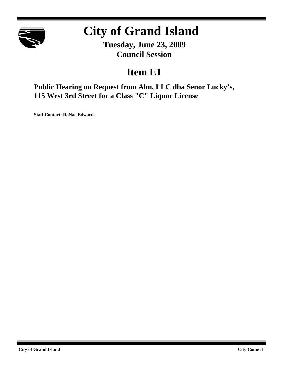

# **City of Grand Island**

**Tuesday, June 23, 2009 Council Session**

## **Item E1**

**Public Hearing on Request from Alm, LLC dba Senor Lucky's, 115 West 3rd Street for a Class "C" Liquor License**

**Staff Contact: RaNae Edwards**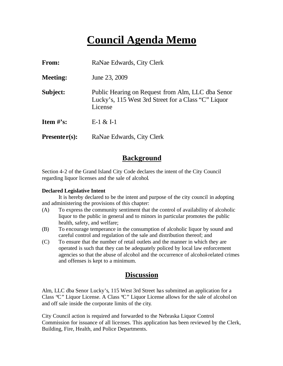## **Council Agenda Memo**

| <b>From:</b>    | RaNae Edwards, City Clerk                                                                                           |  |  |
|-----------------|---------------------------------------------------------------------------------------------------------------------|--|--|
| <b>Meeting:</b> | June 23, 2009                                                                                                       |  |  |
| Subject:        | Public Hearing on Request from Alm, LLC dba Senor<br>Lucky's, 115 West 3rd Street for a Class "C" Liquor<br>License |  |  |
| Item $#$ 's:    | $E-1 & 2E I-1$                                                                                                      |  |  |
| $Presenter(s):$ | RaNae Edwards, City Clerk                                                                                           |  |  |

### **Background**

Section 4-2 of the Grand Island City Code declares the intent of the City Council regarding liquor licenses and the sale of alcohol.

#### **Declared Legislative Intent**

It is hereby declared to be the intent and purpose of the city council in adopting and administering the provisions of this chapter:

- (A) To express the community sentiment that the control of availability of alcoholic liquor to the public in general and to minors in particular promotes the public health, safety, and welfare;
- (B) To encourage temperance in the consumption of alcoholic liquor by sound and careful control and regulation of the sale and distribution thereof; and
- (C) To ensure that the number of retail outlets and the manner in which they are operated is such that they can be adequately policed by local law enforcement agencies so that the abuse of alcohol and the occurrence of alcohol-related crimes and offenses is kept to a minimum.

#### **Discussion**

Alm, LLC dba Senor Lucky's, 115 West 3rd Street has submitted an application for a Class "C" Liquor License. A Class "C" Liquor License allows for the sale of alcohol on and off sale inside the corporate limits of the city.

City Council action is required and forwarded to the Nebraska Liquor Control Commission for issuance of all licenses. This application has been reviewed by the Clerk, Building, Fire, Health, and Police Departments.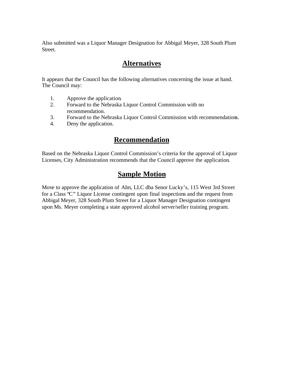Also submitted was a Liquor Manager Designation for Abbigal Meyer, 328 South Plum Street.

### **Alternatives**

It appears that the Council has the following alternatives concerning the issue at hand. The Council may:

- 1. Approve the application.
- 2. Forward to the Nebraska Liquor Control Commission with no recommendation.
- 3. Forward to the Nebraska Liquor Control Commission with recommendations.
- 4. Deny the application.

#### **Recommendation**

Based on the Nebraska Liquor Control Commission's criteria for the approval of Liquor Licenses, City Administration recommends that the Council approve the application.

## **Sample Motion**

Move to approve the application of Alm, LLC dba Senor Lucky's, 115 West 3rd Street for a Class "C" Liquor License contingent upon final inspections and the request from Abbigal Meyer, 328 South Plum Street for a Liquor Manager Designation contingent upon Ms. Meyer completing a state approved alcohol server/seller training program.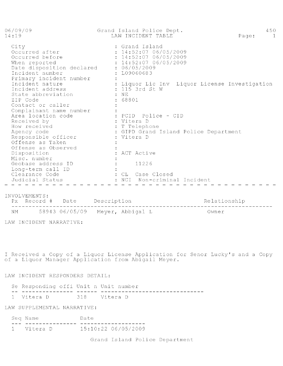| 06/09/09<br>14:19                                                                                                                                             | Grand Island Police Dept.<br>LAW INCIDENT TABLE                                                                             | 450<br>Page:<br>$\overline{1}$ |
|---------------------------------------------------------------------------------------------------------------------------------------------------------------|-----------------------------------------------------------------------------------------------------------------------------|--------------------------------|
| City<br>Occurred after<br>Occurred before<br>When reported<br>Date disposition declared<br>Incident number<br>Primary incident number                         | : Grand Island<br>: 14:52:07 06/05/2009<br>: 14:52:0706/05/2009<br>: 14:52:0706/05/2009<br>$\div$ 06/05/2009<br>: L09060683 |                                |
| Incident nature<br>Incident address<br>State abbreviation<br>ZIP Code<br>Contact or caller                                                                    | : Liquor Lic Inv Liquor License Investigation<br>: 115 3rd St W<br>$\pm$ NE<br>: 68801                                      |                                |
| Complainant name number<br>Area location code<br>Received by<br>How received<br>Agency code<br>Responsible officer<br>Offense as Taken<br>Offense as Observed | : PCID Police - CID<br>: Vitera D<br>: T Telephone<br>: GIPD Grand Island Police Department<br>: Vitera D                   |                                |
| Disposition<br>Misc. number<br>Geobase address ID<br>Long-term call ID<br>Clearance Code<br>Judicial Status                                                   | : ACT Active<br>11226<br>: CL Case Closed<br>NCI<br>Non-criminal Incident                                                   |                                |

INVOLVEMENTS:

NM 58943 06/05/09 Meyer, Abbigal L Owner

LAW INCIDENT NARRATIVE:

I Received a Copy of a Liquor License Application for Senor Lucky's and a Copy of a Liquor Manager Application from Abigail Meyer.

LAW INCIDENT RESPONDERS DETAIL:

Se Responding offi Unit n Unit number 1 Vitera D 318 Vitera D

LAW SUPPLEMENTAL NARRATIVE:

| Seq Name   |  | Date |                     |
|------------|--|------|---------------------|
|            |  |      |                     |
| 1 Vitera D |  |      | 15:10:22 06/05/2009 |

Grand Island Police Department